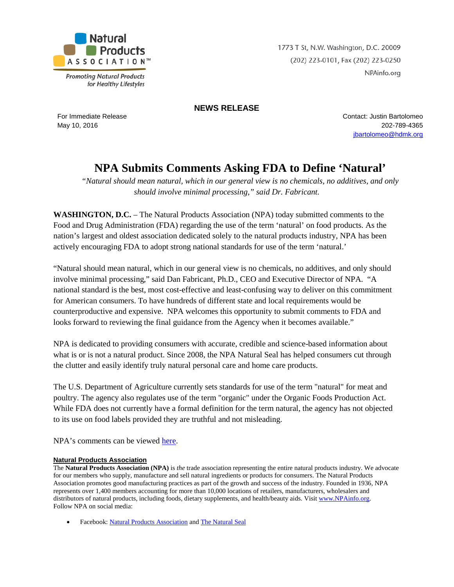

**Promoting Natural Products** for Healthy Lifestyles 1773 T St, N.W. Washington, D.C. 20009 (202) 223-0101, Fax (202) 223-0250 NPAinfo.org

## **NEWS RELEASE**

For Immediate Release May 10, 2016

Contact: Justin Bartolomeo 202-789-4365 [jbartolomeo@hdmk.org](mailto:jbartolomeo@hdmk.org)

## **NPA Submits Comments Asking FDA to Define 'Natural'**

*"Natural should mean natural, which in our general view is no chemicals, no additives, and only should involve minimal processing," said Dr. Fabricant.*

**WASHINGTON, D.C.** – The Natural Products Association (NPA) today submitted comments to the Food and Drug Administration (FDA) regarding the use of the term 'natural' on food products. As the nation's largest and oldest association dedicated solely to the natural products industry, NPA has been actively encouraging FDA to adopt strong national standards for use of the term 'natural.'

"Natural should mean natural, which in our general view is no chemicals, no additives, and only should involve minimal processing," said Dan Fabricant, Ph.D., CEO and Executive Director of NPA. "A national standard is the best, most cost-effective and least-confusing way to deliver on this commitment for American consumers. To have hundreds of different state and local requirements would be counterproductive and expensive. NPA welcomes this opportunity to submit comments to FDA and looks forward to reviewing the final guidance from the Agency when it becomes available."

NPA is dedicated to providing consumers with accurate, credible and science-based information about what is or is not a natural product. Since 2008, the NPA Natural Seal has helped consumers cut through the clutter and easily identify truly natural personal care and home care products.

The U.S. Department of Agriculture currently sets standards for use of the term "natural" for meat and poultry. The agency also regulates use of the term "organic" under the Organic Foods Production Act. While FDA does not currently have a formal definition for the term natural, the agency has not objected to its use on food labels provided they are truthful and not misleading.

NPA's comments can be viewed [here.](http://www.npainfo.org/App_Themes/NPA/docs/press/PressReleases/Definition%20of%20Natural%20Comments%20-%20FINAL.pdf)

## **Natural Products Association**

The **Natural Products Association (NPA)** is *the* trade association representing the entire natural products industry. We advocate for our members who supply, manufacture and sell natural ingredients or products for consumers. The Natural Products Association promotes good manufacturing practices as part of the growth and success of the industry. Founded in 1936, NPA represents over 1,400 members accounting for more than 10,000 locations of retailers, manufacturers, wholesalers and distributors of natural products, including foods, dietary supplements, and health/beauty aids. Visit [www.NPAinfo.org.](http://www.npainfo.org/) Follow NPA on social media:

• Facebook[: Natural Products Association](http://www.facebook.com/NaturalProductsAssociation) an[d The Natural Seal](http://www.facebook.com/NPANaturalSeal)